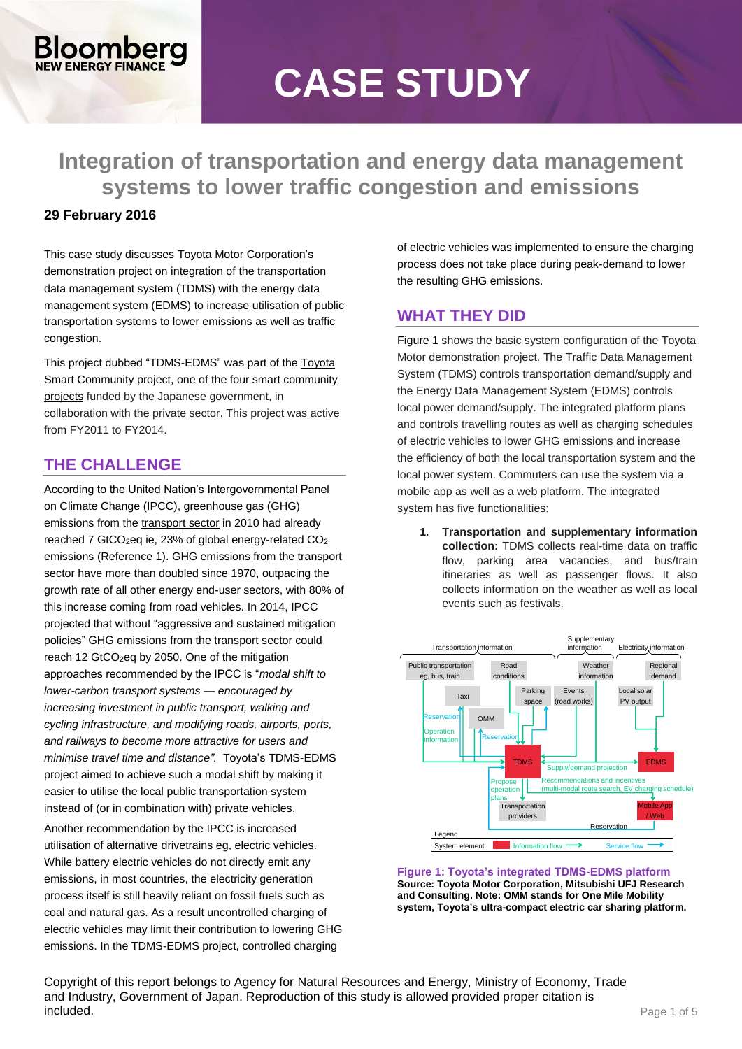# **CASE STUDY**

**Integration of transportation and energy data management systems to lower traffic congestion and emissions**

#### **29 February 2016**

**Combero** 

This case study discusses Toyota Motor Corporation's demonstration project on integration of the transportation data management system (TDMS) with the energy data management system (EDMS) to increase utilisation of public transportation systems to lower emissions as well as traffic congestion.

This project dubbed "TDMS-EDMS" was part of the [Toyota](http://jscp.nepc.or.jp/en/toyota/index.shtml)  [Smart Community](http://jscp.nepc.or.jp/en/toyota/index.shtml) project, one of the four smart community [projects](http://jscp.nepc.or.jp/en/index.shtml) funded by the Japanese government, in collaboration with the private sector. This project was active from FY2011 to FY2014.

## **THE CHALLENGE**

According to the United Nation's Intergovernmental Panel on Climate Change (IPCC), greenhouse gas (GHG) emissions from the [transport sector](http://report.mitigation2014.org/report/ipcc_wg3_ar5_chapter8.pdf) in 2010 had already reached 7 GtCO<sub>2</sub>eq ie, 23% of global energy-related  $CO<sub>2</sub>$ emissions (Reference 1). GHG emissions from the transport sector have more than doubled since 1970, outpacing the growth rate of all other energy end-user sectors, with 80% of this increase coming from road vehicles. In 2014, IPCC projected that without "aggressive and sustained mitigation policies" GHG emissions from the transport sector could reach 12 GtCO<sub>2</sub>eq by 2050. One of the mitigation approaches recommended by the IPCC is "*modal shift to lower-carbon transport systems* — *encouraged by increasing investment in public transport, walking and cycling infrastructure, and modifying roads, airports, ports, and railways to become more attractive for users and minimise travel time and distance".* Toyota's TDMS-EDMS project aimed to achieve such a modal shift by making it easier to utilise the local public transportation system instead of (or in combination with) private vehicles.

Another recommendation by the IPCC is increased utilisation of alternative drivetrains eg, electric vehicles. While battery electric vehicles do not directly emit any emissions, in most countries, the electricity generation process itself is still heavily reliant on fossil fuels such as coal and natural gas. As a result uncontrolled charging of electric vehicles may limit their contribution to lowering GHG emissions. In the TDMS-EDMS project, controlled charging

of electric vehicles was implemented to ensure the charging process does not take place during peak-demand to lower the resulting GHG emissions.

## **WHAT THEY DID**

[Figure 1](#page-0-0) shows the basic system configuration of the Toyota Motor demonstration project. The Traffic Data Management System (TDMS) controls transportation demand/supply and the Energy Data Management System (EDMS) controls local power demand/supply. The integrated platform plans and controls travelling routes as well as charging schedules of electric vehicles to lower GHG emissions and increase the efficiency of both the local transportation system and the local power system. Commuters can use the system via a mobile app as well as a web platform. The integrated system has five functionalities:

**1. Transportation and supplementary information collection:** TDMS collects real-time data on traffic flow, parking area vacancies, and bus/train itineraries as well as passenger flows. It also collects information on the weather as well as local events such as festivals.



<span id="page-0-0"></span>**Figure 1: Toyota's integrated TDMS-EDMS platform Source: Toyota Motor Corporation, Mitsubishi UFJ Research and Consulting. Note: OMM stands for One Mile Mobility system, Toyota's ultra-compact electric car sharing platform.**

Copyright of this report belongs to Agency for Natural Resources and Energy, Ministry of Economy, Trade and Industry, Government of Japan. Reproduction of this study is allowed provided proper citation is **included.** Page 1 of 5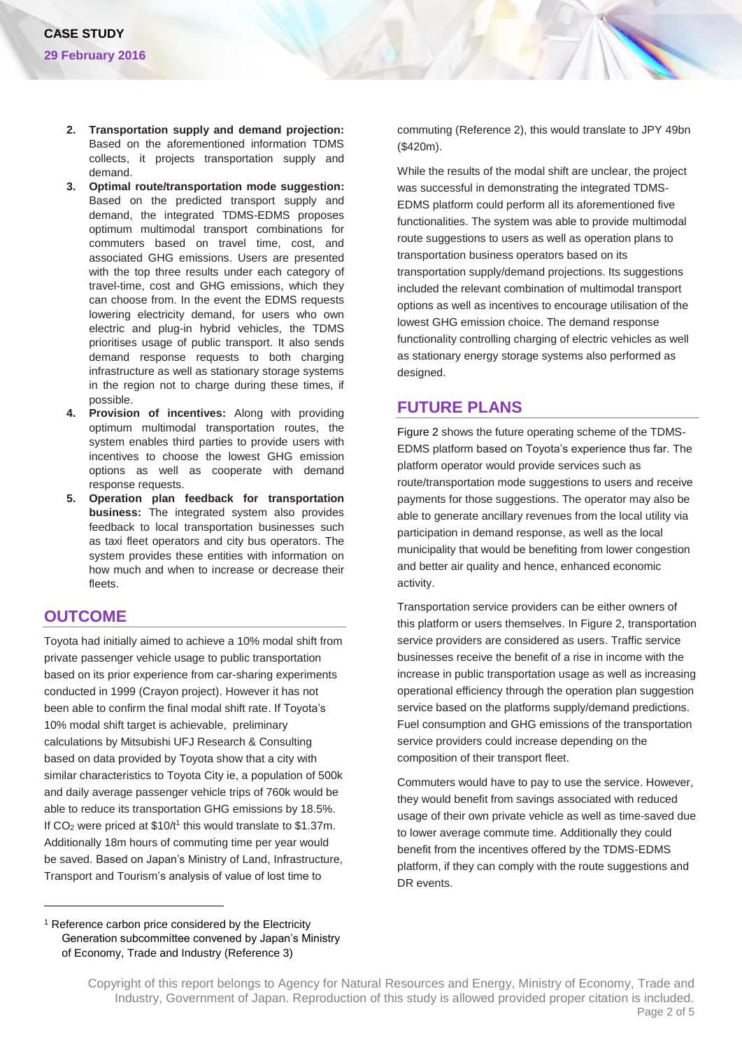- **2. Transportation supply and demand projection:** Based on the aforementioned information TDMS collects, it projects transportation supply and demand.
- **3. Optimal route/transportation mode suggestion:**  Based on the predicted transport supply and demand, the integrated TDMS-EDMS proposes optimum multimodal transport combinations for commuters based on travel time, cost, and associated GHG emissions. Users are presented with the top three results under each category of travel-time, cost and GHG emissions, which they can choose from. In the event the EDMS requests lowering electricity demand, for users who own electric and plug-in hybrid vehicles, the TDMS prioritises usage of public transport. It also sends demand response requests to both charging infrastructure as well as stationary storage systems in the region not to charge during these times, if possible.
- **4. Provision of incentives:** Along with providing optimum multimodal transportation routes, the system enables third parties to provide users with incentives to choose the lowest GHG emission options as well as cooperate with demand response requests.
- **5. Operation plan feedback for transportation business:** The integrated system also provides feedback to local transportation businesses such as taxi fleet operators and city bus operators. The system provides these entities with information on how much and when to increase or decrease their fleets.

#### **OUTCOME**

 $\overline{a}$ 

Toyota had initially aimed to achieve a 10% modal shift from private passenger vehicle usage to public transportation based on its prior experience from car-sharing experiments conducted in 1999 (Crayon project). However it has not been able to confirm the final modal shift rate. If Toyota's 10% modal shift target is achievable, preliminary calculations by Mitsubishi UFJ Research & Consulting based on data provided by Toyota show that a city with similar characteristics to Toyota City ie, a population of 500k and daily average passenger vehicle trips of 760k would be able to reduce its transportation GHG emissions by 18.5%. If  $CO<sub>2</sub>$  were priced at \$10/t<sup>1</sup> this would translate to \$1.37m. Additionally 18m hours of commuting time per year would be saved. Based on Japan's Ministry of Land, Infrastructure, Transport and Tourism's analysis of value of lost time to

commuting (Reference 2), this would translate to JPY 49bn (\$420m).

While the results of the modal shift are unclear, the project was successful in demonstrating the integrated TDMS-EDMS platform could perform all its aforementioned five functionalities. The system was able to provide multimodal route suggestions to users as well as operation plans to transportation business operators based on its transportation supply/demand projections. Its suggestions included the relevant combination of multimodal transport options as well as incentives to encourage utilisation of the lowest GHG emission choice. The demand response functionality controlling charging of electric vehicles as well as stationary energy storage systems also performed as designed.

#### **FUTURE PLANS**

[Figure 2](#page-2-0) shows the future operating scheme of the TDMS-EDMS platform based on Toyota's experience thus far. The platform operator would provide services such as route/transportation mode suggestions to users and receive payments for those suggestions. The operator may also be able to generate ancillary revenues from the local utility via participation in demand response, as well as the local municipality that would be benefiting from lower congestion and better air quality and hence, enhanced economic activity.

Transportation service providers can be either owners of this platform or users themselves. In Figure 2, transportation service providers are considered as users. Traffic service businesses receive the benefit of a rise in income with the increase in public transportation usage as well as increasing operational efficiency through the operation plan suggestion service based on the platforms supply/demand predictions. Fuel consumption and GHG emissions of the transportation service providers could increase depending on the composition of their transport fleet.

Commuters would have to pay to use the service. However, they would benefit from savings associated with reduced usage of their own private vehicle as well as time-saved due to lower average commute time. Additionally they could benefit from the incentives offered by the TDMS-EDMS platform, if they can comply with the route suggestions and DR events.

<sup>&</sup>lt;sup>1</sup> Reference carbon price considered by the Electricity Generation subcommittee convened by Japan's Ministry of Economy, Trade and Industry (Reference 3)

Copyright of this report belongs to Agency for Natural Resources and Energy, Ministry of Economy, Trade and Industry, Government of Japan. Reproduction of this study is allowed provided proper citation is included. Page 2 of 5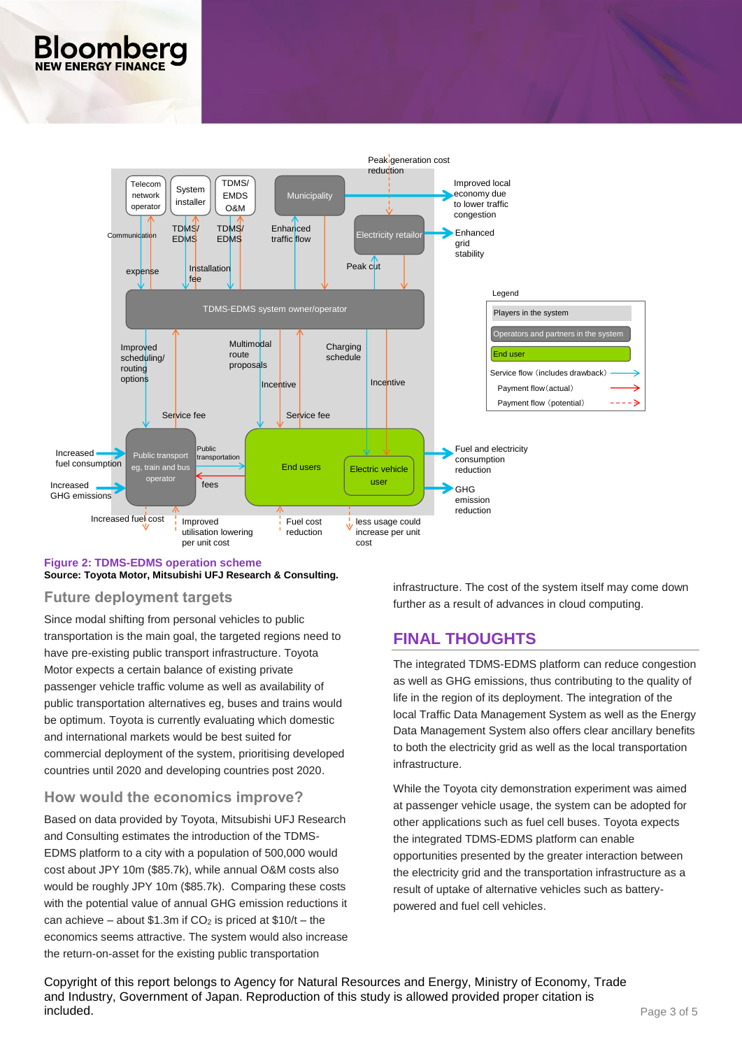

#### <span id="page-2-0"></span>**Figure 2: TDMS-EDMS operation scheme Source: Toyota Motor, Mitsubishi UFJ Research & Consulting.**

#### **Future deployment targets**

Since modal shifting from personal vehicles to public transportation is the main goal, the targeted regions need to have pre-existing public transport infrastructure. Toyota Motor expects a certain balance of existing private passenger vehicle traffic volume as well as availability of public transportation alternatives eg, buses and trains would be optimum. Toyota is currently evaluating which domestic and international markets would be best suited for commercial deployment of the system, prioritising developed countries until 2020 and developing countries post 2020.

## **How would the economics improve?**

Based on data provided by Toyota, Mitsubishi UFJ Research and Consulting estimates the introduction of the TDMS-EDMS platform to a city with a population of 500,000 would cost about JPY 10m (\$85.7k), while annual O&M costs also would be roughly JPY 10m (\$85.7k). Comparing these costs with the potential value of annual GHG emission reductions it can achieve – about \$1.3m if  $CO<sub>2</sub>$  is priced at \$10/t – the economics seems attractive. The system would also increase the return-on-asset for the existing public transportation

infrastructure. The cost of the system itself may come down further as a result of advances in cloud computing.

# **FINAL THOUGHTS**

The integrated TDMS-EDMS platform can reduce congestion as well as GHG emissions, thus contributing to the quality of life in the region of its deployment. The integration of the local Traffic Data Management System as well as the Energy Data Management System also offers clear ancillary benefits to both the electricity grid as well as the local transportation infrastructure.

While the Toyota city demonstration experiment was aimed at passenger vehicle usage, the system can be adopted for other applications such as fuel cell buses. Toyota expects the integrated TDMS-EDMS platform can enable opportunities presented by the greater interaction between the electricity grid and the transportation infrastructure as a result of uptake of alternative vehicles such as batterypowered and fuel cell vehicles.

Copyright of this report belongs to Agency for Natural Resources and Energy, Ministry of Economy, Trade and Industry, Government of Japan. Reproduction of this study is allowed provided proper citation is **included.** Page 3 of 5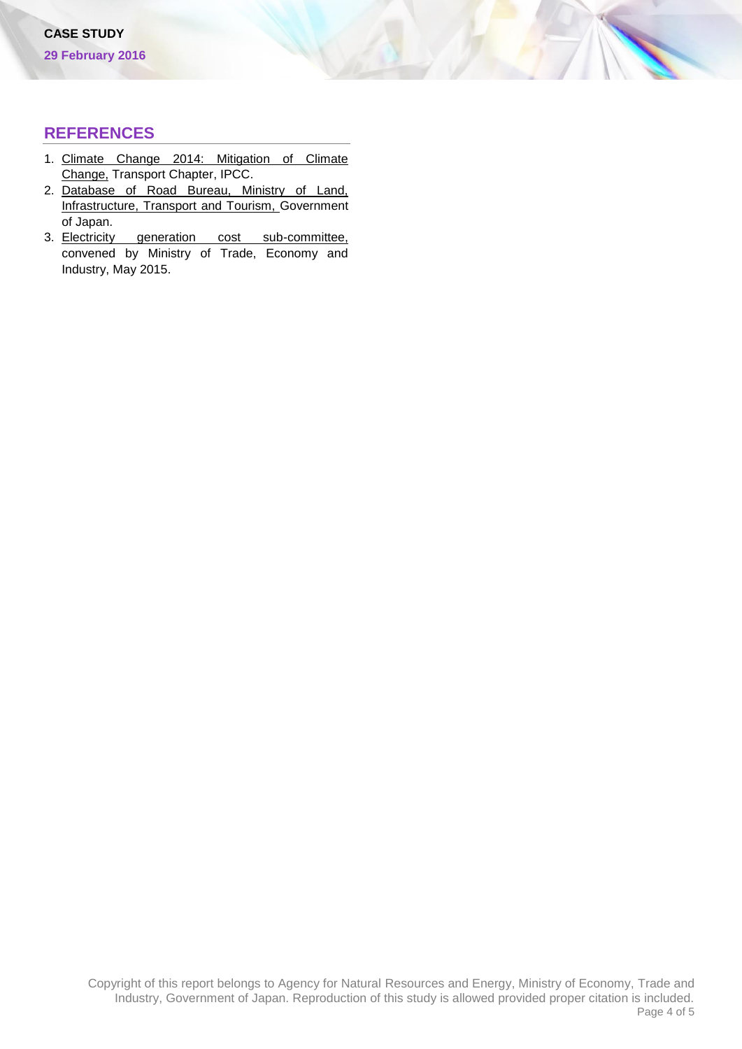#### **REFERENCES**

- 1. [Climate Change 2014: Mitigation of Climate](http://report.mitigation2014.org/report/ipcc_wg3_ar5_chapter8.pdf)  [Change,](http://report.mitigation2014.org/report/ipcc_wg3_ar5_chapter8.pdf) Transport Chapter, IPCC.
- 2. [Database of Road Bureau, Ministry of Land,](http://www.mlit.go.jp/road/ir/ir-data/data_shu.html)  [Infrastructure, Transport](http://www.mlit.go.jp/road/ir/ir-data/data_shu.html) and Tourism, Government of Japan.
- 3. Electricity generation cost sub-committee, convened by Ministry of Trade, Economy and Industry, May 2015.